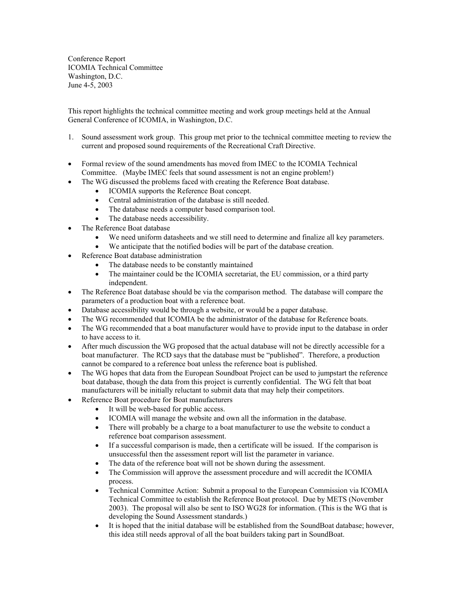Conference Report ICOMIA Technical Committee Washington, D.C. June 4-5, 2003

This report highlights the technical committee meeting and work group meetings held at the Annual General Conference of ICOMIA, in Washington, D.C.

- 1. Sound assessment work group. This group met prior to the technical committee meeting to review the current and proposed sound requirements of the Recreational Craft Directive.
- Formal review of the sound amendments has moved from IMEC to the ICOMIA Technical Committee. (Maybe IMEC feels that sound assessment is not an engine problem!)
- The WG discussed the problems faced with creating the Reference Boat database.
	- ICOMIA supports the Reference Boat concept.
	- Central administration of the database is still needed.
	- The database needs a computer based comparison tool.
	- The database needs accessibility.
- The Reference Boat database
	- We need uniform datasheets and we still need to determine and finalize all key parameters.
	- We anticipate that the notified bodies will be part of the database creation.
- Reference Boat database administration
	- The database needs to be constantly maintained
	- The maintainer could be the ICOMIA secretariat, the EU commission, or a third party independent.
- The Reference Boat database should be via the comparison method. The database will compare the parameters of a production boat with a reference boat.
- Database accessibility would be through a website, or would be a paper database.
- The WG recommended that ICOMIA be the administrator of the database for Reference boats.
- The WG recommended that a boat manufacturer would have to provide input to the database in order to have access to it.
- After much discussion the WG proposed that the actual database will not be directly accessible for a boat manufacturer. The RCD says that the database must be "published". Therefore, a production cannot be compared to a reference boat unless the reference boat is published.
- The WG hopes that data from the European Soundboat Project can be used to jumpstart the reference boat database, though the data from this project is currently confidential. The WG felt that boat manufacturers will be initially reluctant to submit data that may help their competitors.
- Reference Boat procedure for Boat manufacturers
	- It will be web-based for public access.
	- ICOMIA will manage the website and own all the information in the database.
	- There will probably be a charge to a boat manufacturer to use the website to conduct a reference boat comparison assessment.
	- If a successful comparison is made, then a certificate will be issued. If the comparison is unsuccessful then the assessment report will list the parameter in variance.
	- The data of the reference boat will not be shown during the assessment.
	- The Commission will approve the assessment procedure and will accredit the ICOMIA process.
	- Technical Committee Action: Submit a proposal to the European Commission via ICOMIA Technical Committee to establish the Reference Boat protocol. Due by METS (November 2003). The proposal will also be sent to ISO WG28 for information. (This is the WG that is developing the Sound Assessment standards.)
	- It is hoped that the initial database will be established from the SoundBoat database; however, this idea still needs approval of all the boat builders taking part in SoundBoat.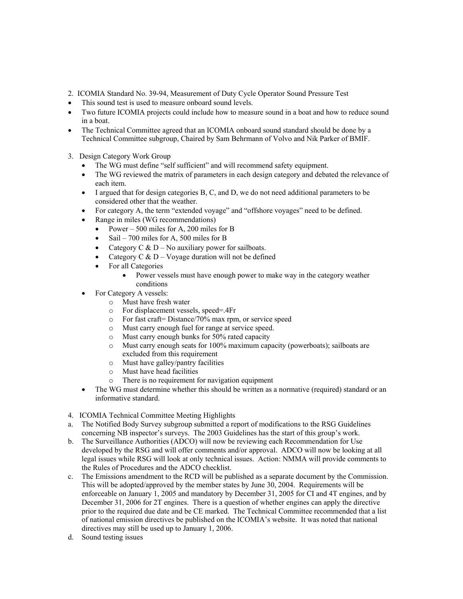- 2. ICOMIA Standard No. 39-94, Measurement of Duty Cycle Operator Sound Pressure Test
- This sound test is used to measure onboard sound levels.
- Two future ICOMIA projects could include how to measure sound in a boat and how to reduce sound in a boat.
- The Technical Committee agreed that an ICOMIA onboard sound standard should be done by a Technical Committee subgroup, Chaired by Sam Behrmann of Volvo and Nik Parker of BMIF.
- 3. Design Category Work Group
	- The WG must define "self sufficient" and will recommend safety equipment.
	- The WG reviewed the matrix of parameters in each design category and debated the relevance of each item.
	- $\bullet$  I argued that for design categories B, C, and D, we do not need additional parameters to be considered other that the weather.
	- For category A, the term "extended voyage" and "offshore voyages" need to be defined.
	- Range in miles (WG recommendations)
		- Power 500 miles for A, 200 miles for B
		- Sail 700 miles for A, 500 miles for B
		- Category  $C & D$  No auxiliary power for sailboats.
		- Category C  $&D \text{Voyage duration will not be defined}$
		- For all Categories
			- Power vessels must have enough power to make way in the category weather conditions
	- For Category A vessels:
		- o Must have fresh water
		- o For displacement vessels, speed=.4Fr
		- o For fast craft= Distance/70% max rpm, or service speed
		- o Must carry enough fuel for range at service speed.
		- o Must carry enough bunks for 50% rated capacity
		- o Must carry enough seats for 100% maximum capacity (powerboats); sailboats are excluded from this requirement
		- o Must have galley/pantry facilities
		- o Must have head facilities
		- o There is no requirement for navigation equipment
	- The WG must determine whether this should be written as a normative (required) standard or an informative standard.
- 4. ICOMIA Technical Committee Meeting Highlights
- a. The Notified Body Survey subgroup submitted a report of modifications to the RSG Guidelines concerning NB inspector's surveys. The 2003 Guidelines has the start of this group's work.
- b. The Surveillance Authorities (ADCO) will now be reviewing each Recommendation for Use developed by the RSG and will offer comments and/or approval. ADCO will now be looking at all legal issues while RSG will look at only technical issues. Action: NMMA will provide comments to the Rules of Procedures and the ADCO checklist.
- c. The Emissions amendment to the RCD will be published as a separate document by the Commission. This will be adopted/approved by the member states by June 30, 2004. Requirements will be enforceable on January 1, 2005 and mandatory by December 31, 2005 for CI and 4T engines, and by December 31, 2006 for 2T engines. There is a question of whether engines can apply the directive prior to the required due date and be CE marked. The Technical Committee recommended that a list of national emission directives be published on the ICOMIA's website. It was noted that national directives may still be used up to January 1, 2006.
- d. Sound testing issues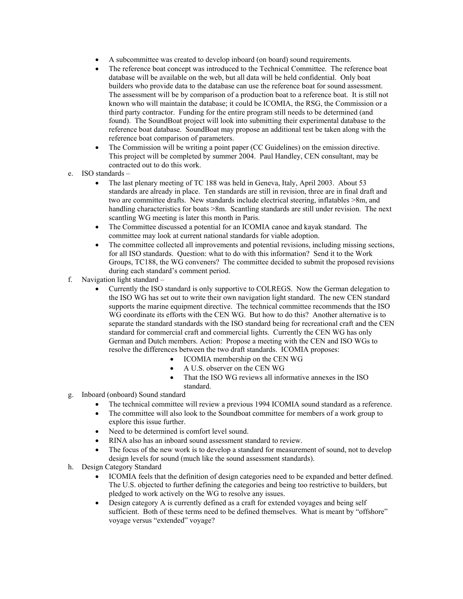- A subcommittee was created to develop inboard (on board) sound requirements.
- The reference boat concept was introduced to the Technical Committee. The reference boat database will be available on the web, but all data will be held confidential. Only boat builders who provide data to the database can use the reference boat for sound assessment. The assessment will be by comparison of a production boat to a reference boat. It is still not known who will maintain the database; it could be ICOMIA, the RSG, the Commission or a third party contractor. Funding for the entire program still needs to be determined (and found). The SoundBoat project will look into submitting their experimental database to the reference boat database. SoundBoat may propose an additional test be taken along with the reference boat comparison of parameters.
- The Commission will be writing a point paper (CC Guidelines) on the emission directive. This project will be completed by summer 2004. Paul Handley, CEN consultant, may be contracted out to do this work.
- e. ISO standards
	- The last plenary meeting of TC 188 was held in Geneva, Italy, April 2003. About 53 standards are already in place. Ten standards are still in revision, three are in final draft and two are committee drafts. New standards include electrical steering, inflatables >8m, and handling characteristics for boats  $>8m$ . Scantling standards are still under revision. The next scantling WG meeting is later this month in Paris.
	- The Committee discussed a potential for an ICOMIA canoe and kayak standard. The committee may look at current national standards for viable adoption.
	- The committee collected all improvements and potential revisions, including missing sections, for all ISO standards. Question: what to do with this information? Send it to the Work Groups, TC188, the WG conveners? The committee decided to submit the proposed revisions during each standard's comment period.
- f. Navigation light standard
	- Currently the ISO standard is only supportive to COLREGS. Now the German delegation to the ISO WG has set out to write their own navigation light standard. The new CEN standard supports the marine equipment directive. The technical committee recommends that the ISO WG coordinate its efforts with the CEN WG. But how to do this? Another alternative is to separate the standard standards with the ISO standard being for recreational craft and the CEN standard for commercial craft and commercial lights. Currently the CEN WG has only German and Dutch members. Action: Propose a meeting with the CEN and ISO WGs to resolve the differences between the two draft standards. ICOMIA proposes:
		- ICOMIA membership on the CEN WG
		- A U.S. observer on the CEN WG
		- That the ISO WG reviews all informative annexes in the ISO standard.
- g. Inboard (onboard) Sound standard
	- The technical committee will review a previous 1994 ICOMIA sound standard as a reference.
	- The committee will also look to the Soundboat committee for members of a work group to explore this issue further.
	- Need to be determined is comfort level sound.
	- RINA also has an inboard sound assessment standard to review.
	- The focus of the new work is to develop a standard for measurement of sound, not to develop design levels for sound (much like the sound assessment standards).
- h. Design Category Standard
	- ICOMIA feels that the definition of design categories need to be expanded and better defined. The U.S. objected to further defining the categories and being too restrictive to builders, but pledged to work actively on the WG to resolve any issues.
	- Design category A is currently defined as a craft for extended voyages and being self sufficient. Both of these terms need to be defined themselves. What is meant by "offshore" voyage versus "extended" voyage?